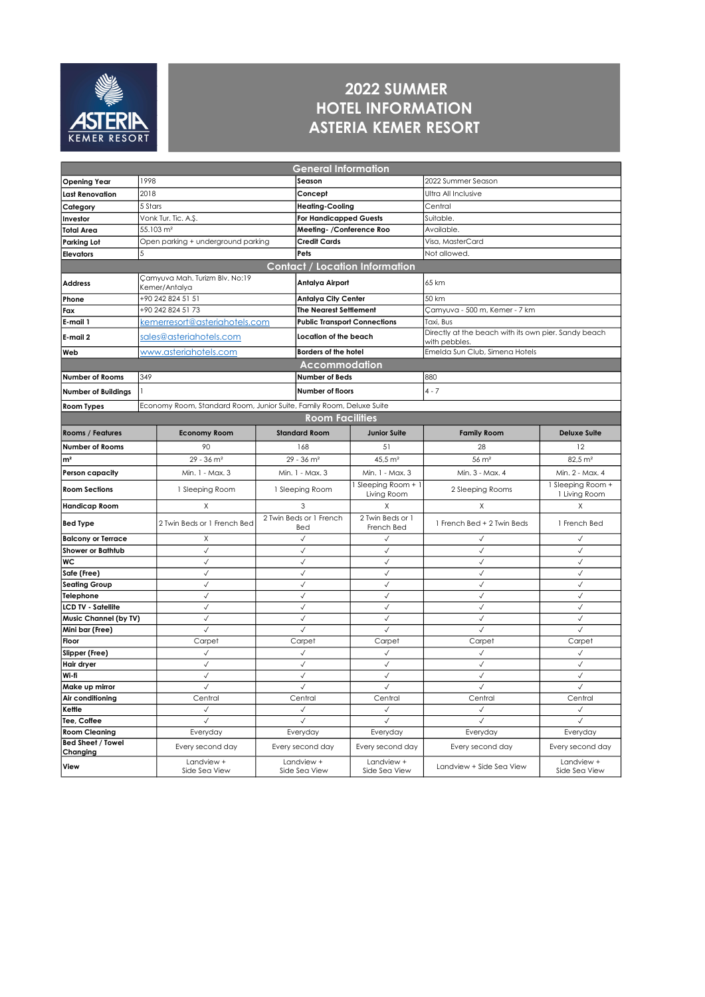

## 2022 SUMMER HOTEL INFORMATION ASTERIA KEMER RESORT

| <b>General Information</b> |                         |                                                                      |                                |                                       |                                |                                                      |                        |  |  |
|----------------------------|-------------------------|----------------------------------------------------------------------|--------------------------------|---------------------------------------|--------------------------------|------------------------------------------------------|------------------------|--|--|
| <b>Opening Year</b>        | 1998                    |                                                                      |                                | Season                                |                                | 2022 Summer Season                                   |                        |  |  |
| <b>Last Renovation</b>     | 2018                    |                                                                      |                                | Concept                               |                                | Ultra All Inclusive                                  |                        |  |  |
| Category                   | 5 Stars                 |                                                                      |                                | <b>Heating-Cooling</b>                |                                | Central                                              |                        |  |  |
| Investor                   | Vonk Tur. Tic. A.Ş.     |                                                                      |                                | <b>For Handicapped Guests</b>         |                                | Suitable.                                            |                        |  |  |
| <b>Total Area</b>          | 55.103 m <sup>2</sup>   |                                                                      |                                | Meeting-/Conference Roo               |                                | Available.                                           |                        |  |  |
| <b>Parking Lot</b>         |                         | Open parking + underground parking                                   |                                | Credit Cards                          |                                | Visa, MasterCard                                     |                        |  |  |
| <b>Elevators</b>           |                         |                                                                      |                                | Pets                                  |                                | Not allowed.                                         |                        |  |  |
|                            |                         |                                                                      |                                | <b>Contact / Location Information</b> |                                |                                                      |                        |  |  |
|                            |                         | Çamyuva Mah. Turizm Blv. No:19                                       |                                |                                       |                                |                                                      |                        |  |  |
| <b>Address</b>             |                         | Kemer/Antalya                                                        |                                | Antalya Airport                       |                                | 65 km                                                |                        |  |  |
| Phone                      |                         | +90 242 824 51 51                                                    |                                | <b>Antalya City Center</b>            |                                | 50 km                                                |                        |  |  |
| Fax                        |                         | +90 242 824 51 73                                                    |                                | <b>The Nearest Settlement</b>         |                                | Camyuva - 500 m, Kemer - 7 km                        |                        |  |  |
| E-mail 1                   |                         | kemerresort@asteriahotels.com                                        |                                | <b>Public Transport Connections</b>   |                                | Taxi, Bus                                            |                        |  |  |
| E-mail 2                   | sales@asteriahotels.com |                                                                      |                                |                                       | Location of the beach          | Directly at the beach with its own pier. Sandy beach |                        |  |  |
|                            |                         |                                                                      |                                |                                       |                                | with pebbles.                                        |                        |  |  |
| Web                        |                         | www.asteriahotels.com                                                |                                | <b>Borders of the hotel</b>           |                                | Emelda Sun Club, Simena Hotels                       |                        |  |  |
|                            |                         |                                                                      |                                | Accommodation                         |                                |                                                      |                        |  |  |
| Number of Rooms            | 349                     |                                                                      |                                | Number of Beds                        |                                | 880                                                  |                        |  |  |
| <b>Number of Buildings</b> |                         |                                                                      |                                | Number of floors                      |                                | $4 - 7$                                              |                        |  |  |
| Room Types                 |                         | Economy Room, Standard Room, Junior Suite, Family Room, Deluxe Suite |                                |                                       |                                |                                                      |                        |  |  |
|                            | <b>Room Facilities</b>  |                                                                      |                                |                                       |                                |                                                      |                        |  |  |
| Rooms / Features           |                         | <b>Economy Room</b>                                                  | <b>Standard Room</b>           |                                       | <b>Junior Suite</b>            | <b>Family Room</b>                                   | <b>Deluxe Suite</b>    |  |  |
| <b>Number of Rooms</b>     |                         | 90                                                                   | 168                            |                                       | 51                             | 28                                                   | 12                     |  |  |
| m <sup>2</sup>             |                         | $29 - 36$ m <sup>2</sup>                                             | $29 - 36$ m <sup>2</sup>       |                                       | 45,5 m <sup>2</sup>            | $56 \text{ m}^2$                                     | 82,5 m <sup>2</sup>    |  |  |
| <b>Person capacity</b>     |                         | Min. 1 - Max. 3                                                      | Min. 1 - Max. 3                |                                       | Min. 1 - Max. 3                | Min. 3 - Max. 4                                      | Min. 2 - Max. 4        |  |  |
|                            |                         |                                                                      |                                |                                       | 1 Sleeping Room +              |                                                      | 1 Sleeping Room +      |  |  |
| <b>Room Sections</b>       |                         | 1 Sleeping Room                                                      | 1 Sleeping Room                |                                       | Living Room                    | 2 Sleeping Rooms                                     | 1 Living Room          |  |  |
| <b>Handicap Room</b>       |                         | X                                                                    | 3                              |                                       | X                              | X                                                    | Χ                      |  |  |
| Bed Type                   |                         | 2 Twin Beds or 1 French Bed                                          | 2 Twin Beds or 1 French<br>Bed |                                       | 2 Twin Beds or 1<br>French Bed | 1 French Bed + 2 Twin Beds                           | 1 French Bed           |  |  |
| <b>Balcony or Terrace</b>  |                         | X                                                                    | $\checkmark$                   |                                       | $\checkmark$                   | $\checkmark$                                         | $\checkmark$           |  |  |
| Shower or Bathtub          |                         | $\checkmark$                                                         | $\checkmark$                   |                                       | $\checkmark$                   | $\checkmark$                                         | $\checkmark$           |  |  |
| WC                         |                         | $\checkmark$                                                         | $\checkmark$                   |                                       | $\checkmark$                   | $\checkmark$                                         | $\checkmark$           |  |  |
| Safe (Free)                |                         | $\checkmark$                                                         | $\checkmark$                   |                                       | $\checkmark$                   | $\checkmark$                                         | $\checkmark$           |  |  |
| <b>Seating Group</b>       |                         | $\checkmark$                                                         | $\checkmark$                   |                                       | $\checkmark$                   | $\checkmark$                                         | $\checkmark$           |  |  |
| Telephone                  |                         | $\checkmark$                                                         | $\checkmark$                   |                                       | $\checkmark$                   | $\checkmark$                                         | $\checkmark$           |  |  |
| <b>LCD TV - Satellite</b>  |                         | $\checkmark$                                                         | $\checkmark$                   |                                       | $\checkmark$                   | $\checkmark$                                         | $\checkmark$           |  |  |
| Music Channel (by TV)      |                         | $\checkmark$                                                         | $\checkmark$                   |                                       | $\checkmark$                   | $\checkmark$                                         | $\checkmark$           |  |  |
| Mini bar (Free)            |                         | $\checkmark$                                                         | $\checkmark$                   |                                       | $\checkmark$                   | $\checkmark$                                         | $\checkmark$           |  |  |
| Floor                      |                         | Carpet<br>$\checkmark$                                               | Carpet                         |                                       | Carpet<br>$\checkmark$         | Carpet<br>$\checkmark$                               | Carpet<br>$\checkmark$ |  |  |
| Slipper (Free)             |                         | $\checkmark$                                                         | $\checkmark$<br>$\checkmark$   |                                       | $\checkmark$                   | √                                                    | $\checkmark$           |  |  |
| Hair dryer<br>Wi-fi        |                         | $\checkmark$                                                         | $\checkmark$                   |                                       | $\checkmark$                   | $\checkmark$                                         | $\checkmark$           |  |  |
| Make up mirror             |                         | $\checkmark$                                                         | $\checkmark$                   |                                       | $\checkmark$                   | $\checkmark$                                         | $\checkmark$           |  |  |
| Air conditioning           |                         | Central                                                              | Central                        |                                       | Central                        | Central                                              | Central                |  |  |
| Kettle                     |                         | $\checkmark$                                                         | $\checkmark$                   |                                       | $\checkmark$                   | √                                                    | $\checkmark$           |  |  |
| Tee, Coffee                |                         | $\checkmark$                                                         | $\checkmark$                   |                                       | $\checkmark$                   | $\checkmark$                                         | $\checkmark$           |  |  |
| <b>Room Cleaning</b>       |                         | Everyday                                                             |                                | Everyday                              | Everyday                       | Everyday                                             | Everyday               |  |  |
| <b>Bed Sheet / Towel</b>   |                         | Every second day                                                     |                                | Every second day                      | Every second day               | Every second day                                     | Every second day       |  |  |
| Changing<br>View           |                         | Landview +                                                           | Landview +<br>Side Sea View    |                                       | Landview +                     |                                                      | Landview +             |  |  |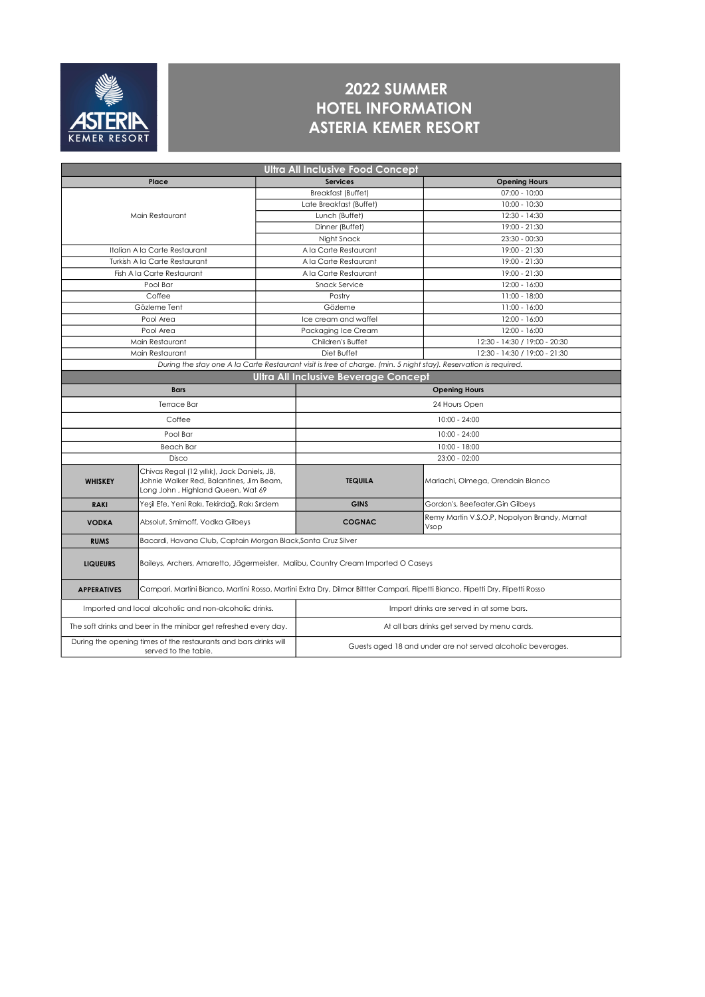

## 2022 SUMMER HOTEL INFORMATION ASTERIA KEMER RESORT

| <b>Ultra All Inclusive Food Concept</b>                                                                          |                                                                                                                                  |                                                              |                                                      |  |  |  |  |  |
|------------------------------------------------------------------------------------------------------------------|----------------------------------------------------------------------------------------------------------------------------------|--------------------------------------------------------------|------------------------------------------------------|--|--|--|--|--|
|                                                                                                                  | Place                                                                                                                            | <b>Services</b>                                              | <b>Opening Hours</b>                                 |  |  |  |  |  |
|                                                                                                                  |                                                                                                                                  | <b>Breakfast (Buffet)</b>                                    | $07:00 - 10:00$                                      |  |  |  |  |  |
|                                                                                                                  |                                                                                                                                  | Late Breakfast (Buffet)                                      | 10:00 - 10:30                                        |  |  |  |  |  |
|                                                                                                                  | Main Restaurant                                                                                                                  | Lunch (Buffet)                                               | 12:30 - 14:30                                        |  |  |  |  |  |
|                                                                                                                  |                                                                                                                                  | Dinner (Buffet)                                              | 19:00 - 21:30                                        |  |  |  |  |  |
|                                                                                                                  |                                                                                                                                  | Night Snack                                                  | $23:30 - 00:30$                                      |  |  |  |  |  |
|                                                                                                                  | Italian A la Carte Restaurant                                                                                                    | A la Carte Restaurant                                        | 19:00 - 21:30                                        |  |  |  |  |  |
|                                                                                                                  | Turkish A la Carte Restaurant                                                                                                    | A la Carte Restaurant                                        | 19:00 - 21:30                                        |  |  |  |  |  |
|                                                                                                                  | Fish A la Carte Restaurant                                                                                                       | A la Carte Restaurant                                        | 19:00 - 21:30                                        |  |  |  |  |  |
|                                                                                                                  | Pool Bar                                                                                                                         | Snack Service                                                | $12:00 - 16:00$                                      |  |  |  |  |  |
|                                                                                                                  | Coffee                                                                                                                           | Pastry                                                       | 11:00 - 18:00                                        |  |  |  |  |  |
|                                                                                                                  | Gözleme Tent                                                                                                                     | Gözleme                                                      | 11:00 - 16:00                                        |  |  |  |  |  |
|                                                                                                                  | Pool Area                                                                                                                        | Ice cream and waffel                                         | 12:00 - 16:00                                        |  |  |  |  |  |
|                                                                                                                  | Pool Area                                                                                                                        | Packaging Ice Cream                                          | 12:00 - 16:00                                        |  |  |  |  |  |
|                                                                                                                  | Main Restaurant                                                                                                                  | Children's Buffet                                            | 12:30 - 14:30 / 19:00 - 20:30                        |  |  |  |  |  |
|                                                                                                                  | Main Restaurant                                                                                                                  | Diet Buffet                                                  | 12:30 - 14:30 / 19:00 - 21:30                        |  |  |  |  |  |
| During the stay one A la Carte Restaurant visit is free of charge. (min. 5 night stay). Reservation is required. |                                                                                                                                  |                                                              |                                                      |  |  |  |  |  |
| <b>Ultra All Inclusive Beverage Concept</b>                                                                      |                                                                                                                                  |                                                              |                                                      |  |  |  |  |  |
|                                                                                                                  | <b>Bars</b>                                                                                                                      | <b>Opening Hours</b>                                         |                                                      |  |  |  |  |  |
|                                                                                                                  | Terrace Bar                                                                                                                      | 24 Hours Open                                                |                                                      |  |  |  |  |  |
|                                                                                                                  | Coffee                                                                                                                           | $10:00 - 24:00$                                              |                                                      |  |  |  |  |  |
|                                                                                                                  | Pool Bar                                                                                                                         | $10:00 - 24:00$                                              |                                                      |  |  |  |  |  |
|                                                                                                                  | <b>Beach Bar</b>                                                                                                                 | 10:00 - 18:00                                                |                                                      |  |  |  |  |  |
|                                                                                                                  | Disco                                                                                                                            |                                                              | $23:00 - 02:00$                                      |  |  |  |  |  |
| <b>WHISKEY</b>                                                                                                   | Chivas Regal (12 yıllık), Jack Daniels, JB,<br>Johnie Walker Red, Balantines, Jim Beam,<br>Long John, Highland Queen, Wat 69     | <b>TEQUILA</b>                                               | Mariachi, Olmega, Orendain Blanco                    |  |  |  |  |  |
| <b>RAKI</b>                                                                                                      | Yeşil Efe, Yeni Rakı, Tekirdağ, Rakı Sırdem                                                                                      | <b>GINS</b>                                                  | Gordon's, Beefeater, Gin Gilbeys                     |  |  |  |  |  |
| <b>VODKA</b>                                                                                                     | Absolut, Smirnoff, Vodka Gilbeys                                                                                                 | <b>COGNAC</b>                                                | Remy Martin V.S.O.P, Nopolyon Brandy, Marnat<br>Vsop |  |  |  |  |  |
| <b>RUMS</b>                                                                                                      | Bacardi, Havana Club, Captain Morgan Black, Santa Cruz Silver                                                                    |                                                              |                                                      |  |  |  |  |  |
| <b>LIQUEURS</b>                                                                                                  | Baileys, Archers, Amaretto, Jägermeister, Malibu, Country Cream Imported O Caseys                                                |                                                              |                                                      |  |  |  |  |  |
| <b>APPERATIVES</b>                                                                                               | Campari, Martini Bianco, Martini Rosso, Martini Extra Dry, Dilmor Bittter Campari, Flipetti Bianco, Flipetti Dry, Flipetti Rosso |                                                              |                                                      |  |  |  |  |  |
|                                                                                                                  | Imported and local alcoholic and non-alcoholic drinks.                                                                           | Import drinks are served in at some bars.                    |                                                      |  |  |  |  |  |
|                                                                                                                  | The soft drinks and beer in the minibar get refreshed every day.                                                                 | At all bars drinks get served by menu cards.                 |                                                      |  |  |  |  |  |
|                                                                                                                  | During the opening times of the restaurants and bars drinks will<br>served to the table.                                         | Guests aged 18 and under are not served alcoholic beverages. |                                                      |  |  |  |  |  |